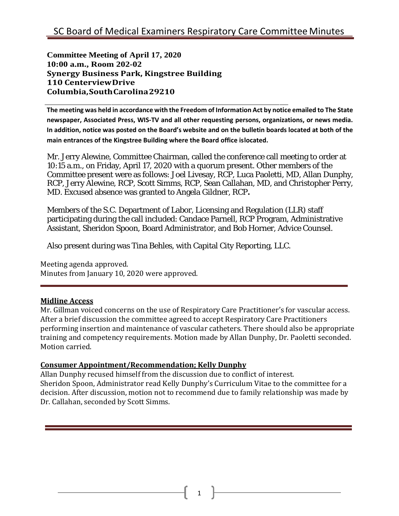**Committee Meeting of April 17, 2020 10:00 a.m., Room 202-02 Synergy Business Park, Kingstree Building 110 CenterviewDrive Columbia,SouthCarolina29210**

**The meeting was held in accordance with the Freedom of Information Act by notice emailed to The State newspaper, Associated Press, WIS-TV and all other requesting persons, organizations, or news media. In addition, notice was posted on the Board's website and on the bulletin boards located at both of the main entrances of the Kingstree Building where the Board office islocated.**

Mr. Jerry Alewine, Committee Chairman, called the conference call meeting to order at 10:15 a.m., on Friday, April 17, 2020 with a quorum present. Other members of the Committee present were as follows: Joel Livesay, RCP, Luca Paoletti, MD, Allan Dunphy, RCP, Jerry Alewine, RCP, Scott Simms, RCP, Sean Callahan, MD, and Christopher Perry, MD. Excused absence was granted to Angela Gildner, RCP**.**

Members of the S.C. Department of Labor, Licensing and Regulation (LLR) staff participating during the call included: Candace Parnell, RCP Program, Administrative Assistant, Sheridon Spoon, Board Administrator, and Bob Horner, Advice Counsel.

Also present during was Tina Behles, with Capital City Reporting, LLC.

Meeting agenda approved. Minutes from January 10, 2020 were approved.

## **Midline Access**

Mr. Gillman voiced concerns on the use of Respiratory Care Practitioner's for vascular access. After a brief discussion the committee agreed to accept Respiratory Care Practitioners performing insertion and maintenance of vascular catheters. There should also be appropriate training and competency requirements. Motion made by Allan Dunphy, Dr. Paoletti seconded. Motion carried.

## **Consumer Appointment/Recommendation; Kelly Dunphy**

Allan Dunphy recused himself from the discussion due to conflict of interest. Sheridon Spoon, Administrator read Kelly Dunphy's Curriculum Vitae to the committee for a decision. After discussion, motion not to recommend due to family relationship was made by Dr. Callahan, seconded by Scott Simms.

1